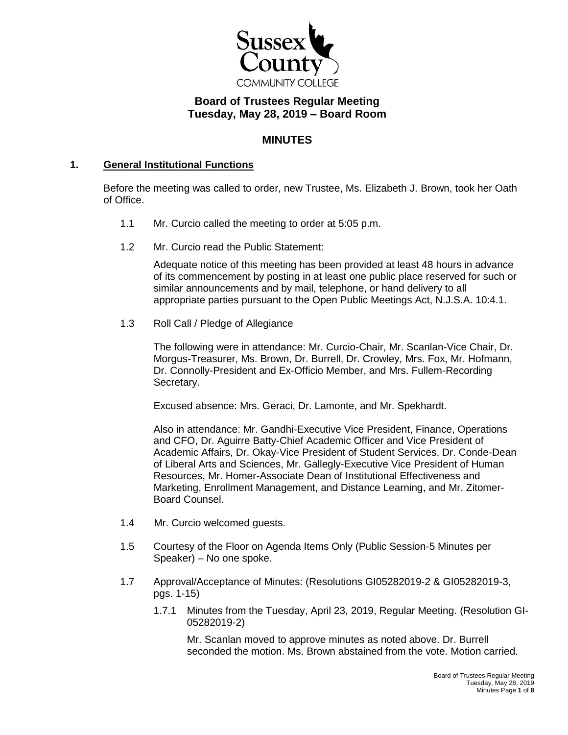

# **Board of Trustees Regular Meeting Tuesday, May 28, 2019 – Board Room**

## **MINUTES**

## **1. General Institutional Functions**

Before the meeting was called to order, new Trustee, Ms. Elizabeth J. Brown, took her Oath of Office.

- 1.1 Mr. Curcio called the meeting to order at 5:05 p.m.
- 1.2 Mr. Curcio read the Public Statement:

Adequate notice of this meeting has been provided at least 48 hours in advance of its commencement by posting in at least one public place reserved for such or similar announcements and by mail, telephone, or hand delivery to all appropriate parties pursuant to the Open Public Meetings Act, N.J.S.A. 10:4.1.

1.3 Roll Call / Pledge of Allegiance

The following were in attendance: Mr. Curcio-Chair, Mr. Scanlan-Vice Chair, Dr. Morgus-Treasurer, Ms. Brown, Dr. Burrell, Dr. Crowley, Mrs. Fox, Mr. Hofmann, Dr. Connolly-President and Ex-Officio Member, and Mrs. Fullem-Recording Secretary.

Excused absence: Mrs. Geraci, Dr. Lamonte, and Mr. Spekhardt.

Also in attendance: Mr. Gandhi-Executive Vice President, Finance, Operations and CFO, Dr. Aguirre Batty-Chief Academic Officer and Vice President of Academic Affairs, Dr. Okay-Vice President of Student Services, Dr. Conde-Dean of Liberal Arts and Sciences, Mr. Gallegly-Executive Vice President of Human Resources, Mr. Homer-Associate Dean of Institutional Effectiveness and Marketing, Enrollment Management, and Distance Learning, and Mr. Zitomer-Board Counsel.

- 1.4 Mr. Curcio welcomed guests.
- 1.5 Courtesy of the Floor on Agenda Items Only (Public Session-5 Minutes per Speaker) – No one spoke.
- 1.7 Approval/Acceptance of Minutes: (Resolutions GI05282019-2 & GI05282019-3, pgs. 1-15)
	- 1.7.1 Minutes from the Tuesday, April 23, 2019, Regular Meeting. (Resolution GI-05282019-2)

Mr. Scanlan moved to approve minutes as noted above. Dr. Burrell seconded the motion. Ms. Brown abstained from the vote. Motion carried.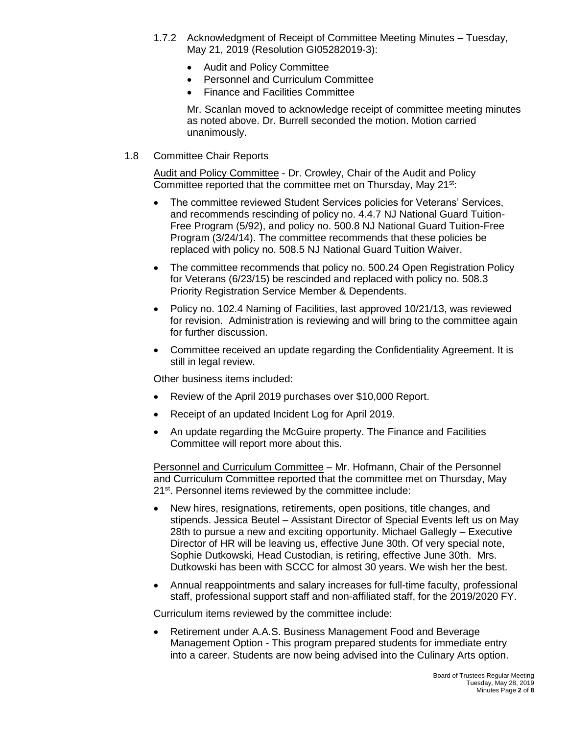- 1.7.2 Acknowledgment of Receipt of Committee Meeting Minutes Tuesday, May 21, 2019 (Resolution GI05282019-3):
	- Audit and Policy Committee
	- Personnel and Curriculum Committee
	- Finance and Facilities Committee

Mr. Scanlan moved to acknowledge receipt of committee meeting minutes as noted above. Dr. Burrell seconded the motion. Motion carried unanimously.

1.8 Committee Chair Reports

Audit and Policy Committee - Dr. Crowley, Chair of the Audit and Policy Committee reported that the committee met on Thursday, May 21<sup>st</sup>:

- The committee reviewed Student Services policies for Veterans' Services, and recommends rescinding of policy no. 4.4.7 NJ National Guard Tuition-Free Program (5/92), and policy no. 500.8 NJ National Guard Tuition-Free Program (3/24/14). The committee recommends that these policies be replaced with policy no. 508.5 NJ National Guard Tuition Waiver.
- The committee recommends that policy no. 500.24 Open Registration Policy for Veterans (6/23/15) be rescinded and replaced with policy no. 508.3 Priority Registration Service Member & Dependents.
- Policy no. 102.4 Naming of Facilities, last approved 10/21/13, was reviewed for revision. Administration is reviewing and will bring to the committee again for further discussion.
- Committee received an update regarding the Confidentiality Agreement. It is still in legal review.

Other business items included:

- Review of the April 2019 purchases over \$10,000 Report.
- Receipt of an updated Incident Log for April 2019.
- An update regarding the McGuire property. The Finance and Facilities Committee will report more about this.

Personnel and Curriculum Committee – Mr. Hofmann, Chair of the Personnel and Curriculum Committee reported that the committee met on Thursday, May 21<sup>st</sup>. Personnel items reviewed by the committee include:

- New hires, resignations, retirements, open positions, title changes, and stipends. Jessica Beutel – Assistant Director of Special Events left us on May 28th to pursue a new and exciting opportunity. Michael Gallegly – Executive Director of HR will be leaving us, effective June 30th. Of very special note, Sophie Dutkowski, Head Custodian, is retiring, effective June 30th. Mrs. Dutkowski has been with SCCC for almost 30 years. We wish her the best.
- Annual reappointments and salary increases for full-time faculty, professional staff, professional support staff and non-affiliated staff, for the 2019/2020 FY.

Curriculum items reviewed by the committee include:

 Retirement under A.A.S. Business Management Food and Beverage Management Option - This program prepared students for immediate entry into a career. Students are now being advised into the Culinary Arts option.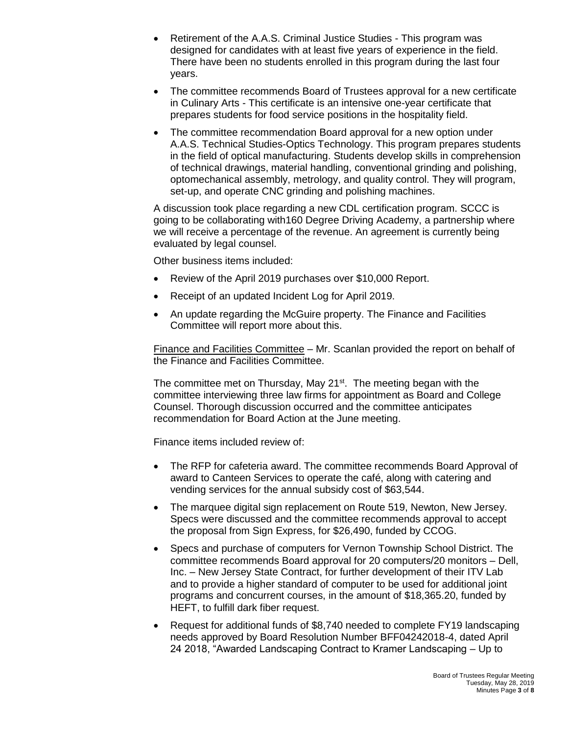- Retirement of the A.A.S. Criminal Justice Studies This program was designed for candidates with at least five years of experience in the field. There have been no students enrolled in this program during the last four years.
- The committee recommends Board of Trustees approval for a new certificate in Culinary Arts - This certificate is an intensive one-year certificate that prepares students for food service positions in the hospitality field.
- The committee recommendation Board approval for a new option under A.A.S. Technical Studies-Optics Technology. This program prepares students in the field of optical manufacturing. Students develop skills in comprehension of technical drawings, material handling, conventional grinding and polishing, optomechanical assembly, metrology, and quality control. They will program, set-up, and operate CNC grinding and polishing machines.

A discussion took place regarding a new CDL certification program. SCCC is going to be collaborating with160 Degree Driving Academy, a partnership where we will receive a percentage of the revenue. An agreement is currently being evaluated by legal counsel.

Other business items included:

- Review of the April 2019 purchases over \$10,000 Report.
- Receipt of an updated Incident Log for April 2019.
- An update regarding the McGuire property. The Finance and Facilities Committee will report more about this.

Finance and Facilities Committee – Mr. Scanlan provided the report on behalf of the Finance and Facilities Committee.

The committee met on Thursday, May 21<sup>st</sup>. The meeting began with the committee interviewing three law firms for appointment as Board and College Counsel. Thorough discussion occurred and the committee anticipates recommendation for Board Action at the June meeting.

Finance items included review of:

- The RFP for cafeteria award. The committee recommends Board Approval of award to Canteen Services to operate the café, along with catering and vending services for the annual subsidy cost of \$63,544.
- The marquee digital sign replacement on Route 519, Newton, New Jersey. Specs were discussed and the committee recommends approval to accept the proposal from Sign Express, for \$26,490, funded by CCOG.
- Specs and purchase of computers for Vernon Township School District. The committee recommends Board approval for 20 computers/20 monitors – Dell, Inc. – New Jersey State Contract, for further development of their ITV Lab and to provide a higher standard of computer to be used for additional joint programs and concurrent courses, in the amount of \$18,365.20, funded by HEFT, to fulfill dark fiber request.
- Request for additional funds of \$8,740 needed to complete FY19 landscaping needs approved by Board Resolution Number BFF04242018-4, dated April 24 2018, "Awarded Landscaping Contract to Kramer Landscaping – Up to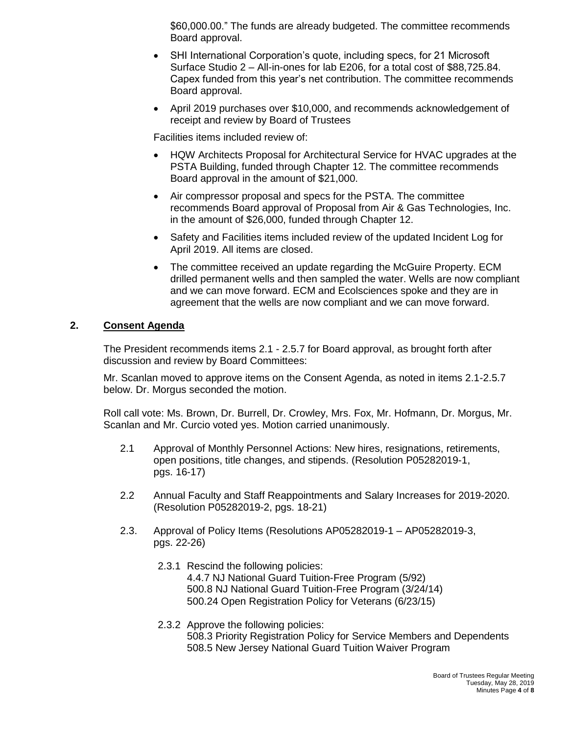\$60,000.00." The funds are already budgeted. The committee recommends Board approval.

- SHI International Corporation's quote, including specs, for 21 Microsoft Surface Studio 2 – All-in-ones for lab E206, for a total cost of \$88,725.84. Capex funded from this year's net contribution. The committee recommends Board approval.
- April 2019 purchases over \$10,000, and recommends acknowledgement of receipt and review by Board of Trustees

Facilities items included review of:

- HQW Architects Proposal for Architectural Service for HVAC upgrades at the PSTA Building, funded through Chapter 12. The committee recommends Board approval in the amount of \$21,000.
- Air compressor proposal and specs for the PSTA. The committee recommends Board approval of Proposal from Air & Gas Technologies, Inc. in the amount of \$26,000, funded through Chapter 12.
- Safety and Facilities items included review of the updated Incident Log for April 2019. All items are closed.
- The committee received an update regarding the McGuire Property. ECM drilled permanent wells and then sampled the water. Wells are now compliant and we can move forward. ECM and Ecolsciences spoke and they are in agreement that the wells are now compliant and we can move forward.

## **2. Consent Agenda**

The President recommends items 2.1 - 2.5.7 for Board approval, as brought forth after discussion and review by Board Committees:

Mr. Scanlan moved to approve items on the Consent Agenda, as noted in items 2.1-2.5.7 below. Dr. Morgus seconded the motion.

Roll call vote: Ms. Brown, Dr. Burrell, Dr. Crowley, Mrs. Fox, Mr. Hofmann, Dr. Morgus, Mr. Scanlan and Mr. Curcio voted yes. Motion carried unanimously.

- 2.1 Approval of Monthly Personnel Actions: New hires, resignations, retirements, open positions, title changes, and stipends. (Resolution P05282019-1, pgs. 16-17)
- 2.2 Annual Faculty and Staff Reappointments and Salary Increases for 2019-2020. (Resolution P05282019-2, pgs. 18-21)
- 2.3. Approval of Policy Items (Resolutions AP05282019-1 AP05282019-3, pgs. 22-26)
	- 2.3.1 Rescind the following policies: 4.4.7 NJ National Guard Tuition-Free Program (5/92) 500.8 NJ National Guard Tuition-Free Program (3/24/14) 500.24 Open Registration Policy for Veterans (6/23/15)
	- 2.3.2 Approve the following policies: 508.3 Priority Registration Policy for Service Members and Dependents 508.5 New Jersey National Guard Tuition Waiver Program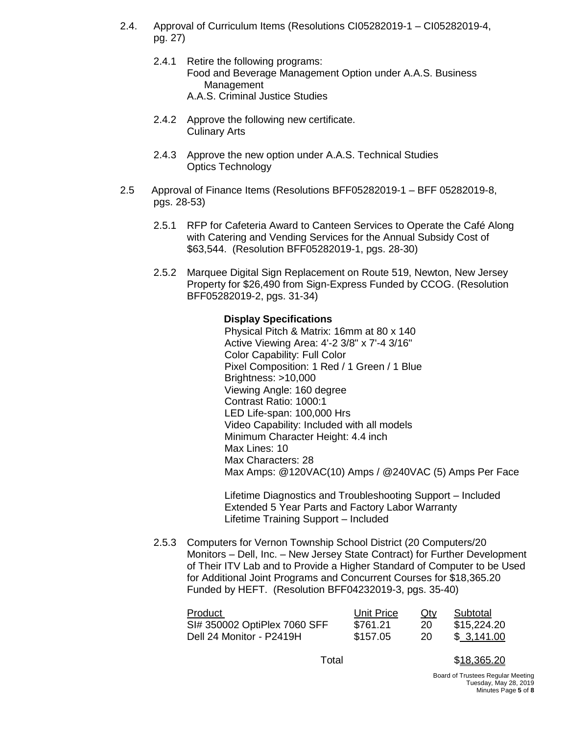- 2.4. Approval of Curriculum Items (Resolutions CI05282019-1 CI05282019-4, pg. 27)
	- 2.4.1 Retire the following programs: Food and Beverage Management Option under A.A.S. Business Management A.A.S. Criminal Justice Studies
	- 2.4.2 Approve the following new certificate. Culinary Arts
	- 2.4.3 Approve the new option under A.A.S. Technical Studies Optics Technology
- 2.5 Approval of Finance Items (Resolutions BFF05282019-1 BFF 05282019-8, pgs. 28-53)
	- 2.5.1 RFP for Cafeteria Award to Canteen Services to Operate the Café Along with Catering and Vending Services for the Annual Subsidy Cost of \$63,544. (Resolution BFF05282019-1, pgs. 28-30)
	- 2.5.2 Marquee Digital Sign Replacement on Route 519, Newton, New Jersey Property for \$26,490 from Sign-Express Funded by CCOG. (Resolution BFF05282019-2, pgs. 31-34)

#### **Display Specifications**

Physical Pitch & Matrix: 16mm at 80 x 140 Active Viewing Area: 4'-2 3/8" x 7'-4 3/16" Color Capability: Full Color Pixel Composition: 1 Red / 1 Green / 1 Blue Brightness: >10,000 Viewing Angle: 160 degree Contrast Ratio: 1000:1 LED Life-span: 100,000 Hrs Video Capability: Included with all models Minimum Character Height: 4.4 inch Max Lines: 10 Max Characters: 28 Max Amps: @120VAC(10) Amps / @240VAC (5) Amps Per Face

Lifetime Diagnostics and Troubleshooting Support – Included Extended 5 Year Parts and Factory Labor Warranty Lifetime Training Support – Included

2.5.3 Computers for Vernon Township School District (20 Computers/20 Monitors – Dell, Inc. – New Jersey State Contract) for Further Development of Their ITV Lab and to Provide a Higher Standard of Computer to be Used for Additional Joint Programs and Concurrent Courses for \$18,365.20 Funded by HEFT. (Resolution BFF04232019-3, pgs. 35-40)

| Product                      | Unit Price | Qty | Subtotal    |
|------------------------------|------------|-----|-------------|
| SI# 350002 OptiPlex 7060 SFF | \$761.21   | 20  | \$15,224.20 |
| Dell 24 Monitor - P2419H     | \$157.05   | 20  | \$3,141.00  |

Total \$18,365.20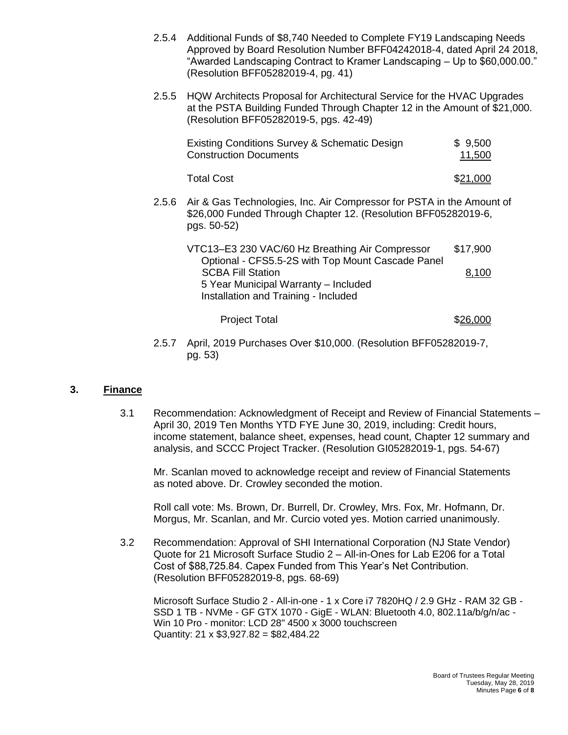- 2.5.4 Additional Funds of \$8,740 Needed to Complete FY19 Landscaping Needs Approved by Board Resolution Number BFF04242018-4, dated April 24 2018, "Awarded Landscaping Contract to Kramer Landscaping – Up to \$60,000.00." (Resolution BFF05282019-4, pg. 41)
- 2.5.5 HQW Architects Proposal for Architectural Service for the HVAC Upgrades at the PSTA Building Funded Through Chapter 12 in the Amount of \$21,000. (Resolution BFF05282019-5, pgs. 42-49)

|       | Existing Conditions Survey & Schematic Design<br><b>Construction Documents</b>                                                                         | \$9,500<br>11,500 |  |
|-------|--------------------------------------------------------------------------------------------------------------------------------------------------------|-------------------|--|
|       | <b>Total Cost</b>                                                                                                                                      | \$21.000          |  |
| 2.5.6 | Air & Gas Technologies, Inc. Air Compressor for PSTA in the Amount of<br>\$26,000 Funded Through Chapter 12. (Resolution BFF05282019-6,<br>pgs. 50-52) |                   |  |
|       | VTC13-E3 230 VAC/60 Hz Breathing Air Compressor<br>Optional - CFS5.5-2S with Top Mount Cascade Panel<br><b>SCBA Fill Station</b>                       | \$17,900<br>8,100 |  |
|       | 5 Year Municipal Warranty - Included<br>Installation and Training - Included                                                                           |                   |  |

## Project Total \$26,000

2.5.7 April, 2019 Purchases Over \$10,000. (Resolution BFF05282019-7, pg. 53)

#### **3. Finance**

3.1 Recommendation: Acknowledgment of Receipt and Review of Financial Statements – April 30, 2019 Ten Months YTD FYE June 30, 2019, including: Credit hours, income statement, balance sheet, expenses, head count, Chapter 12 summary and analysis, and SCCC Project Tracker. (Resolution GI05282019-1, pgs. 54-67)

Mr. Scanlan moved to acknowledge receipt and review of Financial Statements as noted above. Dr. Crowley seconded the motion.

Roll call vote: Ms. Brown, Dr. Burrell, Dr. Crowley, Mrs. Fox, Mr. Hofmann, Dr. Morgus, Mr. Scanlan, and Mr. Curcio voted yes. Motion carried unanimously.

3.2 Recommendation: Approval of SHI International Corporation (NJ State Vendor) Quote for 21 Microsoft Surface Studio 2 – All-in-Ones for Lab E206 for a Total Cost of \$88,725.84. Capex Funded from This Year's Net Contribution. (Resolution BFF05282019-8, pgs. 68-69)

Microsoft Surface Studio 2 - All-in-one - 1 x Core i7 7820HQ / 2.9 GHz - RAM 32 GB - SSD 1 TB - NVMe - GF GTX 1070 - GigE - WLAN: Bluetooth 4.0, 802.11a/b/g/n/ac - Win 10 Pro - monitor: LCD 28" 4500 x 3000 touchscreen Quantity:  $21 \times $3,927.82 = $82,484.22$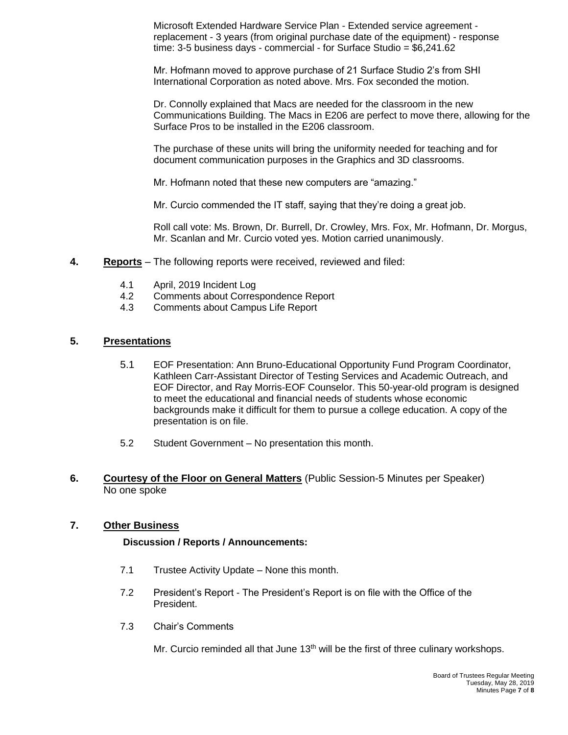Microsoft Extended Hardware Service Plan - Extended service agreement replacement - 3 years (from original purchase date of the equipment) - response time: 3-5 business days - commercial - for Surface Studio = \$6,241.62

Mr. Hofmann moved to approve purchase of 21 Surface Studio 2's from SHI International Corporation as noted above. Mrs. Fox seconded the motion.

Dr. Connolly explained that Macs are needed for the classroom in the new Communications Building. The Macs in E206 are perfect to move there, allowing for the Surface Pros to be installed in the E206 classroom.

The purchase of these units will bring the uniformity needed for teaching and for document communication purposes in the Graphics and 3D classrooms.

Mr. Hofmann noted that these new computers are "amazing."

Mr. Curcio commended the IT staff, saying that they're doing a great job.

Roll call vote: Ms. Brown, Dr. Burrell, Dr. Crowley, Mrs. Fox, Mr. Hofmann, Dr. Morgus, Mr. Scanlan and Mr. Curcio voted yes. Motion carried unanimously.

- **4. Reports** The following reports were received, reviewed and filed:
	- 4.1 April, 2019 Incident Log
	- 4.2 Comments about Correspondence Report
	- 4.3 Comments about Campus Life Report

#### **5. Presentations**

- 5.1 EOF Presentation: Ann Bruno-Educational Opportunity Fund Program Coordinator, Kathleen Carr-Assistant Director of Testing Services and Academic Outreach, and EOF Director, and Ray Morris-EOF Counselor. This 50-year-old program is designed to meet the educational and financial needs of students whose economic backgrounds make it difficult for them to pursue a college education. A copy of the presentation is on file.
- 5.2 Student Government No presentation this month.
- **6. Courtesy of the Floor on General Matters** (Public Session-5 Minutes per Speaker) No one spoke

### **7. Other Business**

#### **Discussion / Reports / Announcements:**

- 7.1 Trustee Activity Update None this month.
- 7.2 President's Report The President's Report is on file with the Office of the President.
- 7.3 Chair's Comments

Mr. Curcio reminded all that June  $13<sup>th</sup>$  will be the first of three culinary workshops.